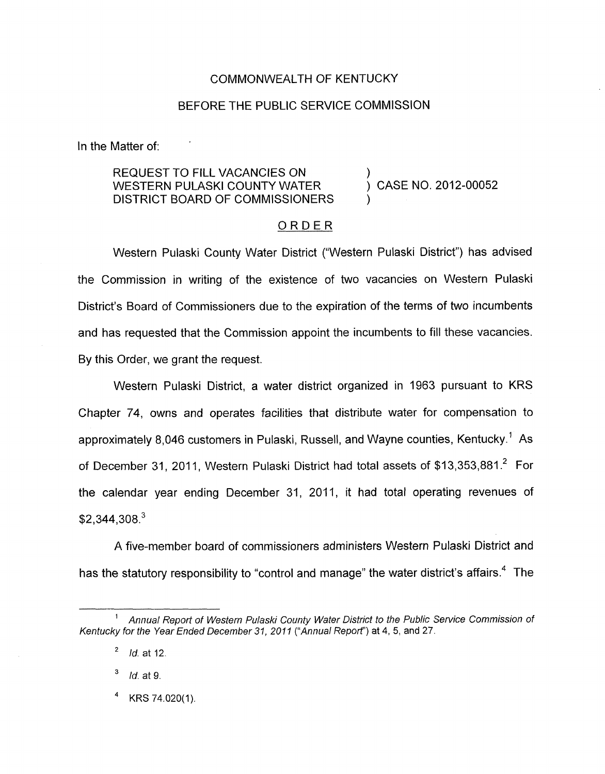## COMMONWEALTH OF KENTUCKY

## BEFORE THE PUBLIC SERVICE COMMISSION

In the Matter of:

## REQUEST TO FILL VACANCIES ON ) WESTERN PULASKI COUNTY WATER DISTRICT BOARD OF COMMISSIONERS

) CASE NO. 2012-00052

## ORDER

Western Pulaski County Water District ("Western Pulaski District") has advised the Commission in writing of the existence of two vacancies on Western Pulaski District's Board of Commissioners due to the expiration of the terms of two incumbents and has requested that the Commission appoint the incumbents to fill these vacancies. By this Order, we grant the request.

Western Pulaski District, a water district organized in 1963 pursuant to KRS Chapter 74, owns and operates facilities that distribute water for compensation to approximately 8,046 customers in Pulaski, Russell, and Wayne counties, Kentucky.' As of December 31, 2011, Western Pulaski District had total assets of \$13,353,881.<sup>2</sup> For the calendar year ending December 31, 2011, it had total operating revenues of  $$2,344,308.<sup>3</sup>$ 

A five-member board of commissioners administers Western Pulaski District and has the statutory responsibility to "control and manage" the water district's affairs.<sup>4</sup> The

*Id.* at **9.** 

KRS 74.020(1)

*Annual Report of Western Pulaski County Water District to the Public Service Commission of*  **1**  *Kentucky for the Year Ended December 31, 2011 ("Annual Report')* at **4,5,** and 27.

*Id.* at 12. **2**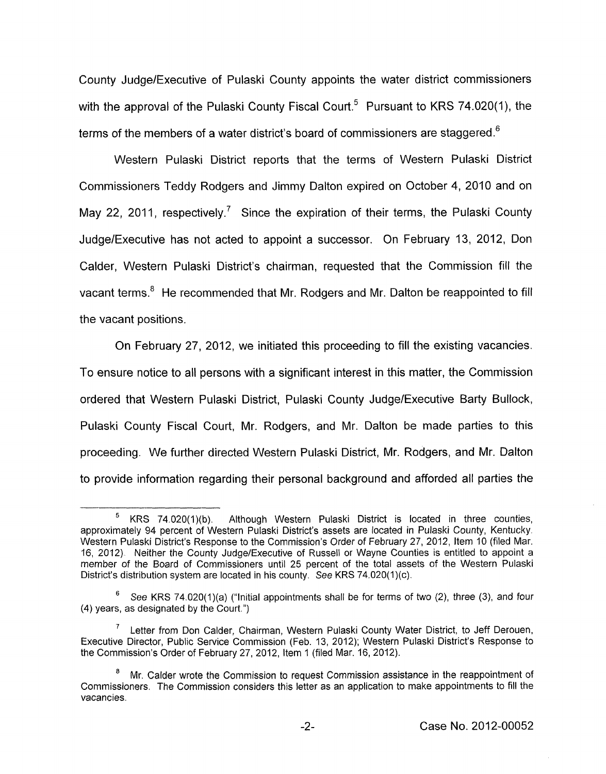County Judge/Executive of Pulaski County appoints the water district commissioners with the approval of the Pulaski County Fiscal Court.<sup>5</sup> Pursuant to KRS 74.020(1), the terms of the members of a water district's board of commissioners are staggered.<sup>6</sup>

Western Pulaski District reports that the terms of Western Pulaski District Commissioners Teddy Rodgers and Jimmy Dalton expired on October 4, 2010 and on May 22, 2011, respectively.<sup>7</sup> Since the expiration of their terms, the Pulaski County JudgelExecutive has not acted to appoint a successor. On February 13, 2012, Don Calder, Western Pulaski District's chairman, requested that the Commission fill the vacant terms.<sup>8</sup> He recommended that Mr. Rodgers and Mr. Dalton be reappointed to fill the vacant positions.

On February 27, 2012, we initiated this proceeding to fill the existing vacancies. To ensure notice to all persons with a significant interest in this matter, the Commission ordered that Western Pulaski District, Pulaski County Judge/Executive Barty Bullock, Pulaski County Fiscal Court, Mr. Rodgers, and Mr. Dalton be made parties to this proceeding. We further directed Western Pulaski District, Mr. Rodgers, and Mr. Dalton to provide information regarding their personal background and afforded all parties the

\_I Although Western Pulaski District is located in three counties, approximately 94 percent of Western Pulaski District's assets are located in Pulaski County, Kentucky. Western Pulaski District's Response to the Commission's Order of February 27, 2012, Item 10 (filed Mar. 16, 2012). Neither the County Judge/Executive of Russell or Wayne Counties is entitled to appoint a member of the Board of Commissioners until 25 percent of the total assets of the Western Pulaski District's distribution system are located in his county. See KRS 74.020(1)(c). <sup>5</sup> KRS 74.020(1)(b).

See KRS 74.020(1)(a) ("Initial appointments shall be for terms of two (2), three **(3),** and four **6**  (4) years, as designated by the Court.")

Letter from Don Calder, Chairman, Western Pulaski County Water District, to Jeff Derouen, **7**  Executive Director, Public Service Commission (Feb. 13, 2012); Western Pulaski District's Response to the Commission's Order of February 27, 2012, Item 1 (filed Mar. 16, 2012).

Mr. Calder wrote the Commission to request Commission assistance in the reappointment of Commissioners. The Commission considers this letter as an application to make appointments to fill the vacancies. *8*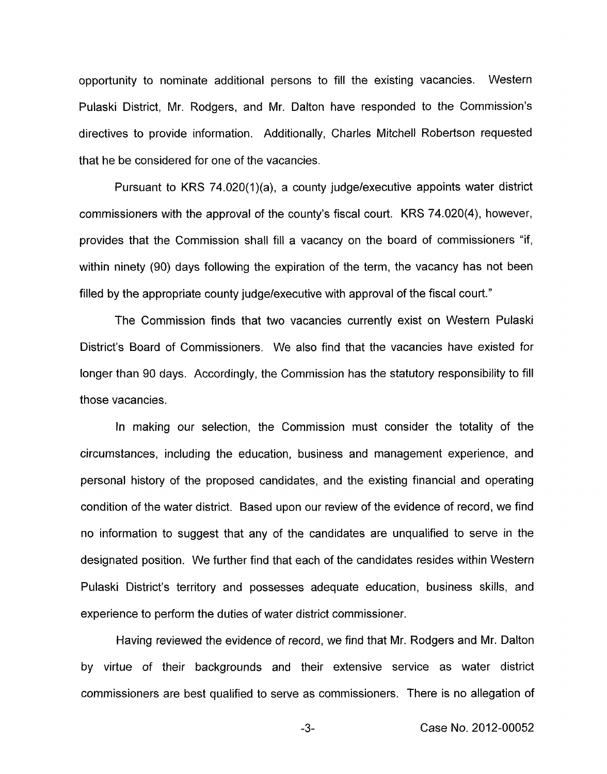opportunity to nominate additional persons to fill the existing vacancies. Western Pulaski District, Mr. Rodgers, and Mr. Dalton have responded to the Commission's directives to provide information. Additionally, Charles Mitchell Robertson requested that he be considered for one of the vacancies.

Pursuant to KRS 74.020(1)(a), a county judge/executive appoints water district commissioners with the approval of the county's fiscal court. KRS 74.020(4), however, provides that the Commission shall fill a vacancy on the board of commissioners "if, within ninety (90) days following the expiration of the term, the vacancy has not been filled by the appropriate county judge/executive with approval of the fiscal court."

The Commission finds that two vacancies currently exist on Western Pulaski District's Board of Commissioners. We also find that the vacancies have existed for longer than 90 days. Accordingly, the Commission has the statutory responsibility to fill those vacancies.

In making our selection, the Commission must consider the totality of the circumstances, including the education, business and management experience, and personal history of the proposed candidates, and the existing financial and operating condition of the water district. Based upon our review of the evidence of record, we find no information to suggest that any of the candidates are unqualified to serve in the designated position. We further find that each of the candidates resides within Western Pulaski District's territory and possesses adequate education, business skills, and experience to perform the duties of water district commissioner.

Having reviewed the evidence of record, we find that Mr. Rodgers and Mr. Dalton by virtue of their backgrounds and their extensive service as water district commissioners are best qualified to serve as commissioners. There is no allegation of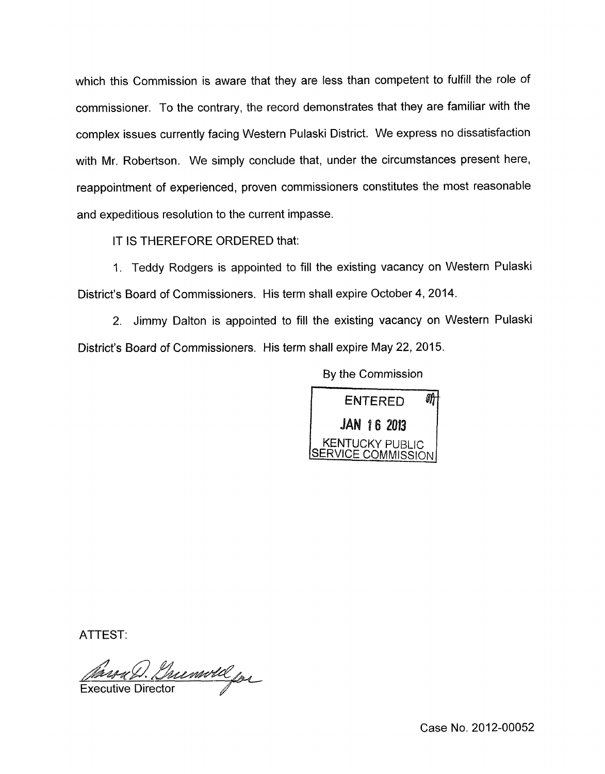which this Commission is aware that they are less than competent to fulfill the role of commissioner. To the contrary, the record demonstrates that they are familiar with the complex issues currently facing Western Pulaski District. We express no dissatisfaction with Mr. Robertson. We simply conclude that, under the circumstances present here, reappointment of experienced, proven commissioners constitutes the most reasonable and expeditious resolution to the current impasse.

IT IS THEREFORE ORDERED that:

I. Teddy Rodgers is appointed to fill the existing vacancy on Western Pulaski District's Board of Commissioners. His term shall expire October **4,** 2014.

2. Jimmy Dalton is appointed to fill the existing vacancy on Western Pulaski District's Board of Commissioners. His term shall expire May 22, 2015.

By the Commission



ATTEST:

Marra D. Grunwold for